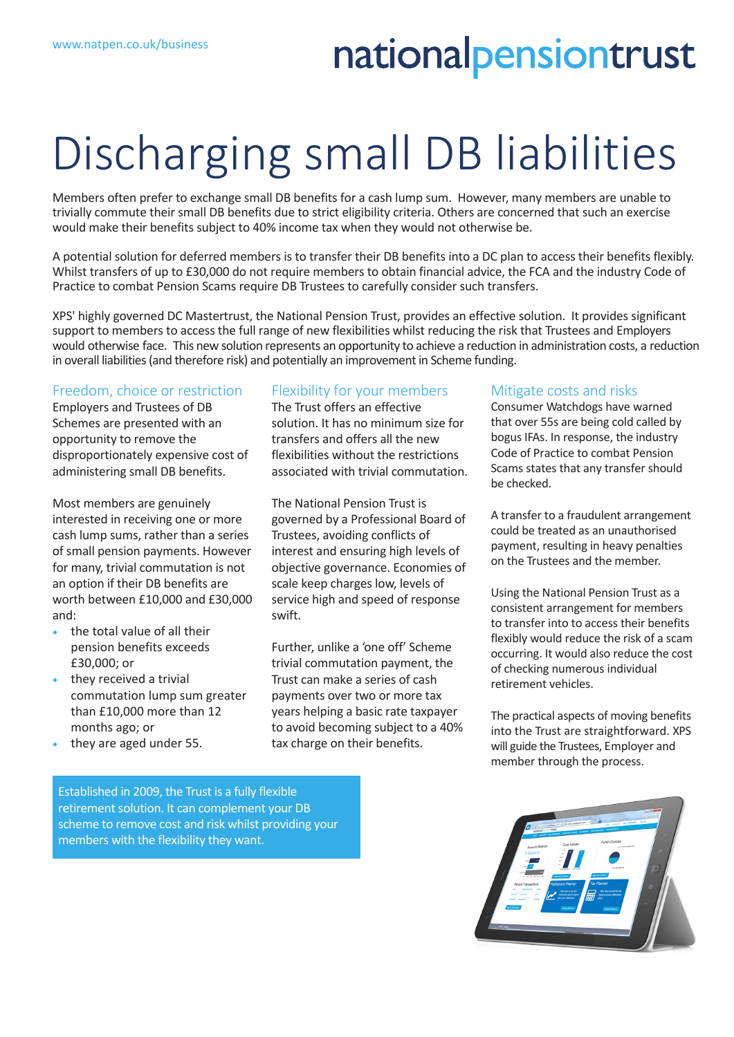## nationalpensiontrust

# Discharging small DB liabilities

Members often prefer to exchange small DB benefits for a cash lump sum. However, many members are unable to trivially commute their small DB benefits due to strict eligibility criteria. Others are concerned that such an exercise would make their benefits subject to 40% income tax when they would not otherwise be.

A potential solution for deferred members is to transfer their DB benefits into a DC plan to access their benefits flexibly. Whilst transfers of up to £30,000 do not require members to obtain financial advice, the FCA and the industry Code of Practice to combat Pension Scams require DB Trustees to carefully consider such transfers.

XPS' highly governed DC Mastertrust, the National Pension Trust, provides an effective solution. It provides significant support to members to access the full range of new flexibilities whilst reducing the risk that Trustees and Employers would otherwise face. This new solution represents an opportunity to achieve a reduction in administration costs, a reduction in overall liabilities (and therefore risk) and potentially an improvement in Scheme funding.

#### Freedom, choice or restriction

Employers and Trustees of DB Schemes are presented with an opportunity to remove the disproportionately expensive cost of administering small DB benefits.

Most members are genuinely interested in receiving one or more cash lump sums, rather than a series of small pension payments. However for many, trivial commutation is not an option if their DB benefits are worth between £10,000 and £30,000 and:

- the total value of all their pension benefits exceeds £30,000; or
- they received a trivial commutation lump sum greater than £10,000 more than 12 months ago; or
- they are aged under 55.

### Flexibility for your members

The Trust offers an effective solution. It has no minimum size for transfers and offers all the new flexibilities without the restrictions associated with trivial commutation.

The National Pension Trust is governed by a Professional Board of Trustees, avoiding conflicts of interest and ensuring high levels of objective governance. Economies of scale keep charges low, levels of service high and speed of response swift.

Further, unlike a 'one off' Scheme trivial commutation payment, the Trust can make a series of cash payments over two or more tax years helping a basic rate taxpayer to avoid becoming subject to a 40% tax charge on their benefits.

#### Mitigate costs and risks

Consumer Watchdogs have warned that over 55s are being cold called by bogus IFAs. In response, the industry Code of Practice to combat Pension Scams states that any transfer should be checked.

A transfer to a fraudulent arrangement could be treated as an unauthorised payment, resulting in heavy penalties on the Trustees and the member.

Using the National Pension Trust as a consistent arrangement for members to transfer into to access their benefits flexibly would reduce the risk of a scam occurring. It would also reduce the cost of checking numerous individual retirement vehicles.

The practical aspects of moving benefits into the Trust are straightforward. XPS will guide the Trustees, Employer and member through the process.



Established in 2009, the Trust is a fully flexible retirement solution. It can complement your DB scheme to remove cost and risk whilst providing your members with the flexibility they want.